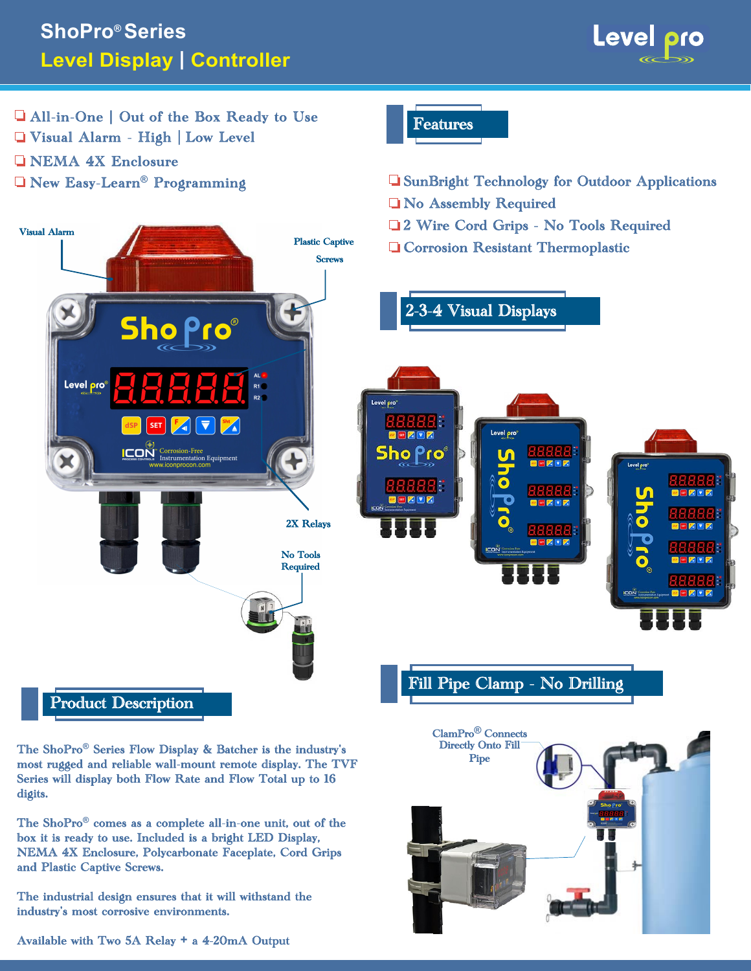



The ShoPro**®** Series Flow Display & Batcher is the industry's most rugged and reliable wall-mount remote display. The TVF Series will display both Flow Rate and Flow Total up to 16 digits.

The ShoPro**®** comes as a complete all-in-one unit, out of the box it is ready to use. Included is a bright LED Display, NEMA 4X Enclosure, Polycarbonate Faceplate, Cord Grips and Plastic Captive Screws.

The industrial design ensures that it will withstand the industry's most corrosive environments.



Available with Two 5A Relay **+** a 4-20mA Output